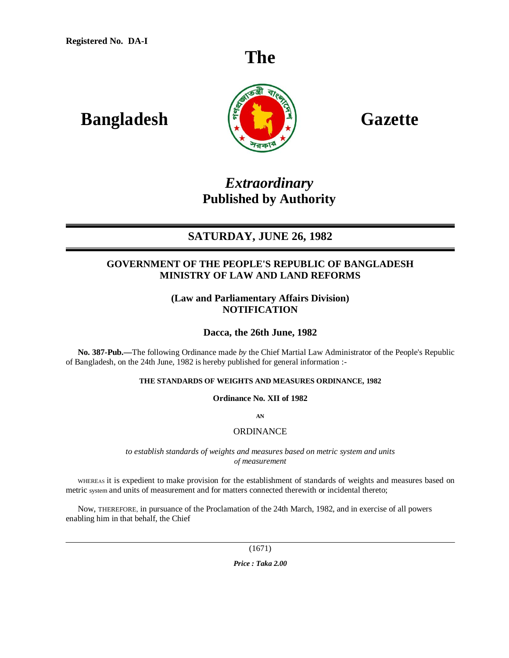# **The**

# **Bangladesh**  $\begin{bmatrix} \frac{1}{2} & \frac{1}{2} \end{bmatrix}$  Gazette



# *Extraordinary* **Published by Authority**

# **SATURDAY, JUNE 26, 1982**

# **GOVERNMENT OF THE PEOPLE'S REPUBLIC OF BANGLADESH MINISTRY OF LAW AND LAND REFORMS**

# **(Law and Parliamentary Affairs Division) NOTIFICATION**

# **Dacca, the 26th June, 1982**

**No. 387-Pub.—**The following Ordinance made *by* the Chief Martial Law Administrator of the People's Republic of Bangladesh, on the 24th June, 1982 is hereby published for general information :-

### **THE STANDARDS OF WEIGHTS AND MEASURES ORDINANCE, 1982**

**Ordinance No. XII of 1982**

**AN**

### **ORDINANCE**

*to establish standards of weights and measures based on metric system and units of measurement*

WHEREAS it is expedient to make provision for the establishment of standards of weights and measures based on metric system and units of measurement and for matters connected therewith or incidental thereto;

Now, THEREFORE, in pursuance of the Proclamation of the 24th March, 1982, and in exercise of all powers enabling him in that behalf, the Chief

(1671)

*Price : Taka 2.00*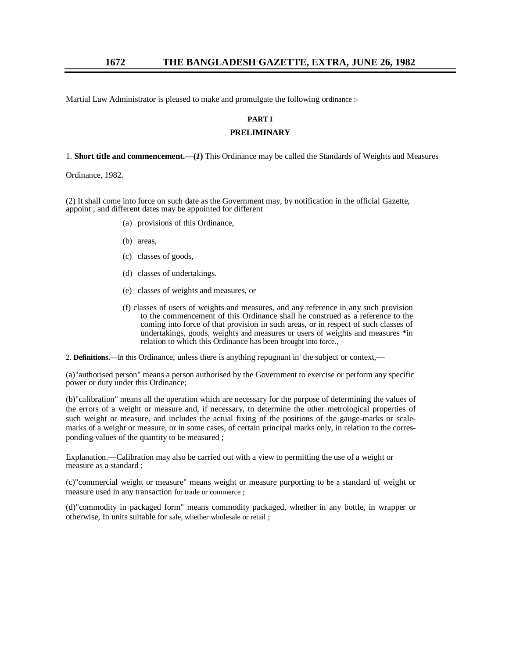Martial Law Administrator is pleased to make and promulgate the following ordinance :-

#### **PART I**

#### **PRELIMINARY**

1. **Short title and commencement.—(***1***)** This Ordinance may be called the Standards of Weights and Measures

Ordinance, 1982.

(2) It shall come into force on such date as the Government may, by notification in the official Gazette, appoint ; and different dates may be appointed for different

- (a) provisions of this Ordinance,
- (b) areas,
- (c) classes of goods,
- (d) classes of undertakings.
- (e) classes of weights and measures, Of'
- (f) classes of users of weights and measures, and any reference in any such provision to the commencement of this Ordinance shall he construed as a reference to the coming into force of that provision in such areas, or in respect of such classes of undertakings, goods, weights and measures or users of weights and measures \*in relation to which this Ordinance has been brought into force.,

2. **Definitions.**—In this Ordinance, unless there is anything repugnant in' the subject or context,—

(a)"authorised person" means a person authorised by the Government to exercise or perform any specific power or duty under this Ordinance;

(b)"calibration" means all the operation which are necessary for the purpose of determining the values of the errors of a weight or measure and, if necessary, to determine the other metrological properties of such weight or measure, and includes the actual fixing of the positions of the gauge-marks or scalemarks of a weight or measure, or in some cases, of certain principal marks only, in relation to the corresponding values of the quantity to be measured ;

Explanation.—Calibration may also be carried out with a view to permitting the use of a weight or measure as a standard ;

(c)"commercial weight or measure" means weight or measure purporting to be a standard of weight or measure used in any transaction for trade or commerce ;

(d)"commodity in packaged form" means commodity packaged, whether in any bottle, in wrapper or otherwise, In units suitable for sale, whether wholesale or retail ;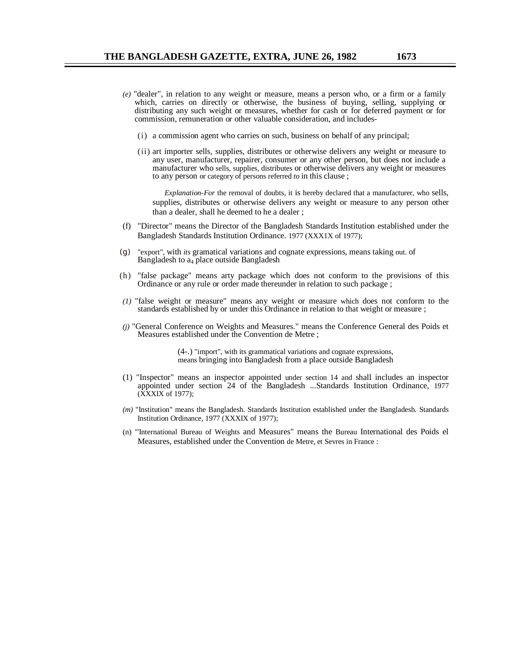- *(e)* "dealer", in relation to any weight or measure, means a person who, or a firm or a family which, carries on directly or otherwise, the business of buying, selling, supplying or distributing any such weight or measures, whether for cash or for deferred payment or for commission, remuneration or other valuable consideration, and includes-
	- (i) a commission agent who carries on such, business on behalf of any principal;
	- (ii) art importer sells, supplies, distributes or otherwise delivers any weight or measure to any user, manufacturer, repairer, consumer or any other person, but does not include a manufacturer who sells, supplies, distributes or otherwise delivers any weight or measures to any person or category of persons referred *to* in this clause ;

*Explanation-For* the removal of doubts, it is hereby declared that a manufacturer, who sells, supplies, distributes or otherwise delivers any weight or measure to any person other than a dealer, shall he deemed to he a dealer ;

- (f) "Director" means the Director of the Bangladesh Standards Institution established under the Bangladesh Standards Institution Ordinance. 1977 (XXX1X of 1977);
- (g) "export", with *its* gramatical variations and cognate expressions, means taking out. of Bangladesh to  $a_4$  place outside Bangladesh
- (h) "false package" means arty package which does not conform to the provisions of this Ordinance or any rule or order made thereunder in relation to such package ;
- *(1)* "false weight or measure" means any weight or measure which does not conform to the standards established by or under this Ordinance in relation to that weight or measure ;
- *(j)* "General Conference on Weights and Measures." means the Conference General des Poids et Measures established under the Convention de Metre ;

(4-.) "import", with its grammatical variations and cognate expressions, means bringing into Bangladesh from a place outside Bangladesh

- (1) "Inspector" means an inspector appointed under section 14 and shall includes an inspector appointed under section 24 of the Bangladesh ...Standards Institution Ordinance, 1977 (XXXIX of 1977);
- *(m)* "Institution" means the Bangladesh. Standards Institution established under the Bangladesh. Standards Institution Ordinance, 1977 (XXXIX of 1977);
- (n) "'International Bureau of Weights and Measures" means the Bureau International des Poids el Measures, established under the Convention de Metre, et Sevres in France :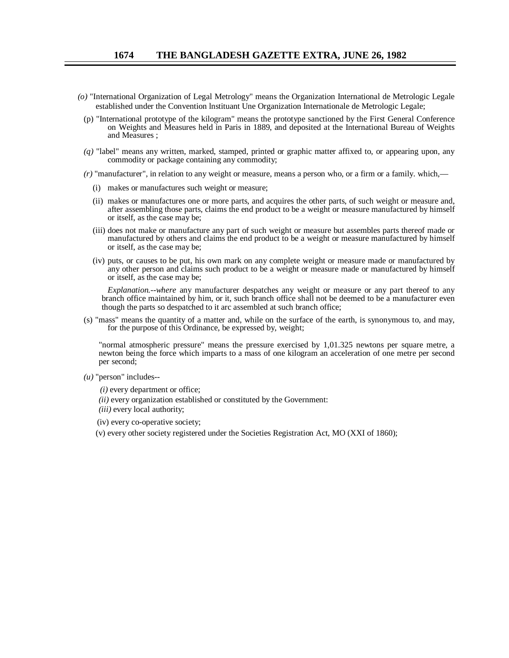- *(o)* "International Organization of Legal Metrology" means the Organization International de Metrologic Legale established under the Convention lnstituant Une Organization Internationale de Metrologic Legale;
	- (p) "International prototype of the kilogram" means the prototype sanctioned by the First General Conference on Weights and Measures held in Paris in 1889, and deposited at the International Bureau of Weights and Measures ;
	- *(q)* "label" means any written, marked, stamped, printed or graphic matter affixed to, or appearing upon, any commodity or package containing any commodity;
	- *(r)* "manufacturer", in relation to any weight or measure, means a person who, or a firm or a family. which,—
		- (i) makes or manufactures such weight or measure;
		- (ii) makes or manufactures one or more parts, and acquires the other parts, of such weight or measure and, after assembling those parts, claims the end product to be a weight or measure manufactured by himself or itself, as the case may be;
		- (iii) does not make or manufacture any part of such weight or measure but assembles parts thereof made or manufactured by others and claims the end product to be a weight or measure manufactured by himself or itself, as the case may be;
		- (iv) puts, or causes to be put, his own mark on any complete weight or measure made or manufactured by any other person and claims such product to be a weight or measure made or manufactured by himself or itself, as the case may be;

*Explanation.--where* any manufacturer despatches any weight or measure or any part thereof to any branch office maintained by him, or it, such branch office shall not be deemed to be a manufacturer even though the parts so despatched to it arc assembled at such branch office;

(s) "mass" means the quantity of a matter and, while on the surface of the earth, is synonymous to, and may, for the purpose of this Ordinance, be expressed by, weight;

"normal atmospheric pressure" means the pressure exercised by 1,01.325 newtons per square metre, a newton being the force which imparts to a mass of one kilogram an acceleration of one metre per second per second;

- *(u)* "person" includes--
	- *(i)* every department or office;
	- *(ii)* every organization established or constituted by the Government:
	- *(iii)* every local authority;
	- (iv) every co-operative society;
	- (v) every other society registered under the Societies Registration Act, MO (XXI of 1860);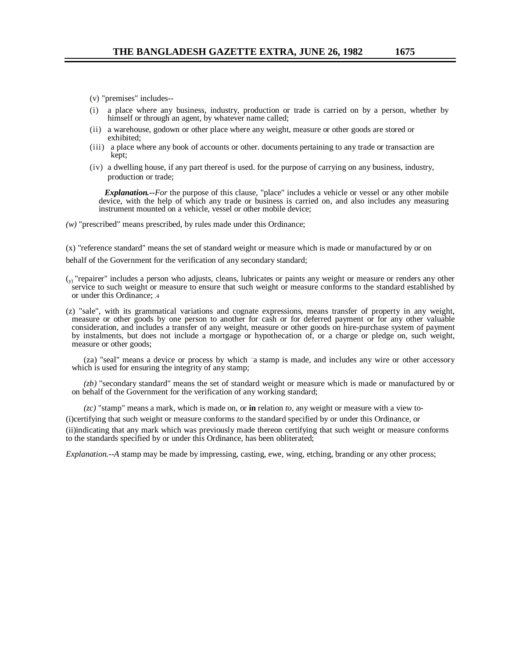- (v) "premises" includes--
- (i) a place where any business, industry, production or trade is carried on by a person, whether by himself or through an agent, by whatever name called;
- (ii) a warehouse, godown or other place where any weight, measure or other goods are stored or exhibited;
- (iii) a place where any book of accounts or other. documents pertaining to any trade or transaction are kept;
- (iv) a dwelling house, if any part thereof is used. for the purpose of carrying on any business, industry, production or trade;

*Explanation.--For* the purpose of this clause, "place" includes a vehicle or vessel or any other mobile device, with the help of which any trade or business is carried on, and also includes any measuring instrument mounted on a vehicle, vessel or other mobile device;

*(w)* "prescribed" means prescribed, by rules made under this Ordinance;

(x) "reference standard" means the set of standard weight or measure which is made or manufactured by or on behalf of the Government for the verification of any secondary standard;

- $\left(\sqrt{y}\right)$  "repairer" includes a person who adjusts, cleans, lubricates or paints any weight or measure or renders any other service to such weight or measure to ensure that such weight or measure conforms to the standard established by or under this Ordinance; .4
- (z) "sale", with its grammatical variations and cognate expressions, means transfer of property in any weight, measure or other goods by one person to another for cash or for deferred payment or for any other valuable consideration, and includes a transfer of any weight, measure or other goods on hire-purchase system of payment by instalments, but does not include a mortgage or hypothecation of, or a charge or pledge on, such weight, measure or other goods;

(za) "seal" means a device or process by which "a stamp is made, and includes any wire or other accessory which is used for ensuring the integrity of any stamp;

*(zb)* "secondary standard" means the set of standard weight or measure which is made or manufactured by or on behalf of the Government for the verification of any working standard;

*(zc)* "stamp" means a mark, which is made on, or **in** relation *to,* any weight or measure with a view to-

(i)certifying that such weight or measure conforms *to* the standard specified by or under this Ordinance, or

(ii)indicating that any mark which was previously made thereon certifying that such weight or measure conforms to the standards specified by or under this Ordinance, has been obliterated;

*Explanation.--A* stamp may be made by impressing, casting, ewe, wing, etching, branding or any other process;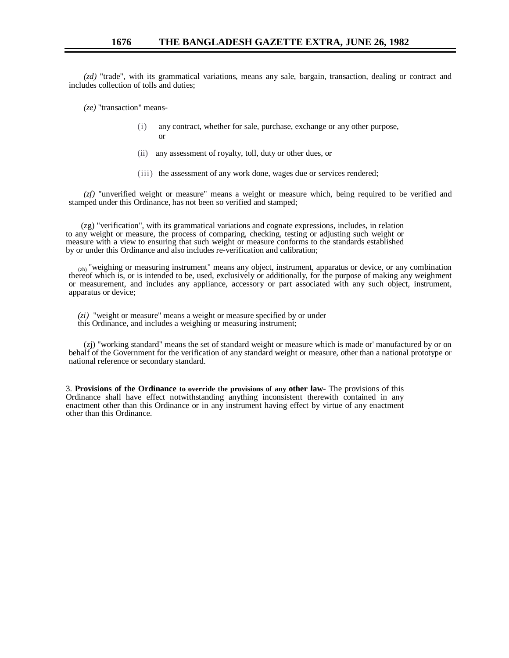*(zd)* "trade", with its grammatical variations, means any sale, bargain, transaction, dealing or contract and includes collection of tolls and duties;

*(ze)* "transaction" means-

- (i) any contract, whether for sale, purchase, exchange or any other purpose, or
- (ii) any assessment of royalty, toll, duty or other dues, or
- (iii) the assessment of any work done, wages due or services rendered;

*(zf)* "unverified weight or measure" means a weight or measure which, being required to be verified and stamped under this Ordinance, has not been so verified and stamped;

 (zg) "verification", with its grammatical variations and cognate expressions, includes, in relation to any weight or measure, the process of comparing, checking, testing or adjusting such weight or measure with a view to ensuring that such weight or measure conforms to the standards established by or under this Ordinance and also includes re-verification and calibration;

 (zh) "weighing or measuring instrument" means any object, instrument, apparatus or device, or any combination thereof which is, or is intended to be, used, exclusively or additionally, for the purpose of making any weighment or measurement, and includes any appliance, accessory or part associated with any such object, instrument, apparatus or device;

- *(zi)* "weight or measure" means a weight or measure specified by or under
- this Ordinance, and includes a weighing or measuring instrument;

(zj) "working standard" means the set of standard weight or measure which is made or' manufactured by or on behalf of the Government for the verification of any standard weight or measure, other than a national prototype or national reference or secondary standard.

3. **Provisions of the Ordinance to override the provisions of any other law-** The provisions of this Ordinance shall have effect notwithstanding anything inconsistent therewith contained in any enactment other than this Ordinance or in any instrument having effect by virtue of any enactment other than this Ordinance.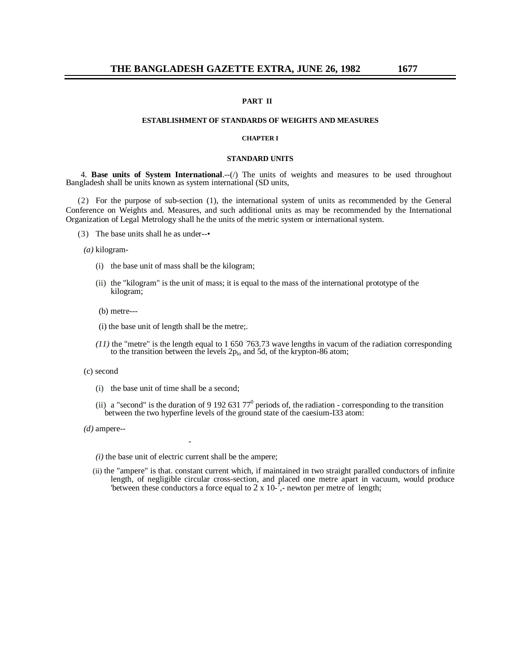#### **PART II**

#### **ESTABLISHMENT OF STANDARDS OF WEIGHTS AND MEASURES**

#### **CHAPTER I**

#### **STANDARD UNITS**

4. **Base units of System International.**--(*i*) The units of weights and measures to be used throughout Bangladesh shall be units known as system international (SD units,

(2) For the purpose of sub-section (1), the international system of units as recommended by the General Conference on Weights and. Measures, and such additional units as may be recommended by the International Organization of Legal Metrology shall he the units of the metric system or international system.

(3) The base units shall he as under--•

*(a)* kilogram-

- (i) the base unit of mass shall be the kilogram;
- (ii) the "kilogram" is the unit of mass; it is equal to the mass of the international prototype of the kilogram;

(b) metre---

- (i) the base unit of length shall be the metre;.
- (11) the "metre" is the length equal to 1 650 763.73 wave lengths in vacum of the radiation corresponding to the transition between the levels  $2p_{lo}$  and 5d, of the krypton-86 atom;
- (c) second
	- (i) the base unit of time shall be a second;
	- (ii) a "second" is the duration of 9 192 631 77<sup>0</sup> periods of, the radiation corresponding to the transition between the two hyperfine levels of the ground state of the caesium-I33 atom:
- *(d)* ampere--
	- *(i)* the base unit of electric current shall be the ampere;

*-*

(ii) the "ampere" is that. constant current which, if maintained in two straight paralled conductors of infinite length, of negligible circular cross-section, and placed one metre apart in vacuum, would produce 'between these conductors a force equal to  $2 \times 10^{-7}$ , newton per metre of length;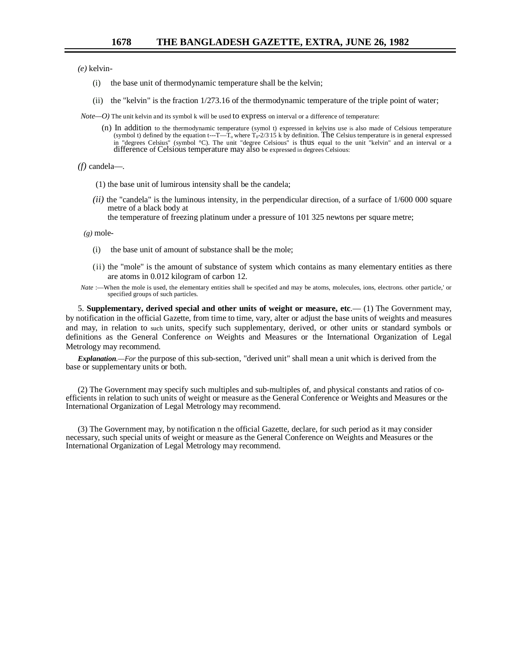*(e)* kelvin-

- (i) the base unit of thermodynamic temperature shall be the kelvin;
- (ii) the "kelvin" is the fraction 1/273.16 of the thermodynamic temperature of the triple point of water;
- *Note*—O) The unit kelvin and its symbol k will be used to express on interval or a difference of temperature:
	- (n) In addition to the thermodynamic temperature (symol t) expressed in kelvins use is also made of Celsious temperature (symbol t) defined by the equation t---T—T<sub>o</sub> where T<sub>0</sub>-2/3.15 k by definition. The Celsius temperature is in general expressed in "degrees Celsius" (symbol °C). The unit "degree Celsious" is thus equal to the unit "kelvin" and an interval or a difference of Celsious temperature may also be expressed in degrees Celsious:

*(f)* candela—.

- (1) the base unit of lumirous intensity shall be the candela;
- *(ii)* the "candela" is the luminous intensity, in the perpendicular direction, of a surface of 1/600 000 square metre of a black body at
	- the temperature of freezing platinum under a pressure of 101 325 newtons per square metre;

 $(g)$  mole-

- (i) the base unit of amount of substance shall be the mole;
- (ii) the "mole" is the amount of substance of system which contains as many elementary entities as there are atoms in 0.012 kilogram of carbon 12.
- *Nate* :- When the mole is used, the elementary entities shall be specif<sub>i</sub>ed and may be atoms, molecules, ions, electrons. other particle,' or specified groups of such particles.

5. **Supplementary, derived special and other units of weight or measure, etc**.— (1) The Government may, by notification in the official Gazette, from time to time, vary, alter or adjust the base units of weights and measures and may, in relation to such units, specify such supplementary, derived, or other units or standard symbols or definitions as the General Conference *on* Weights and Measures or the International Organization of Legal Metrology may recommend.

*Explanation.—For* the purpose of this sub-section, "derived unit" shall mean a unit which is derived from the base or supplementary units or both.

(2) The Government may specify such multiples and sub-multiples of, and physical constants and ratios of coefficients in relation to such units of weight or measure as the General Conference or Weights and Measures or the International Organization of Legal Metrology may recommend.

(3) The Government may, by notification n the official Gazette, declare, for such period as it may consider necessary, such special units of weight or measure as the General Conference on Weights and Measures or the International Organization of Legal Metrology may recommend.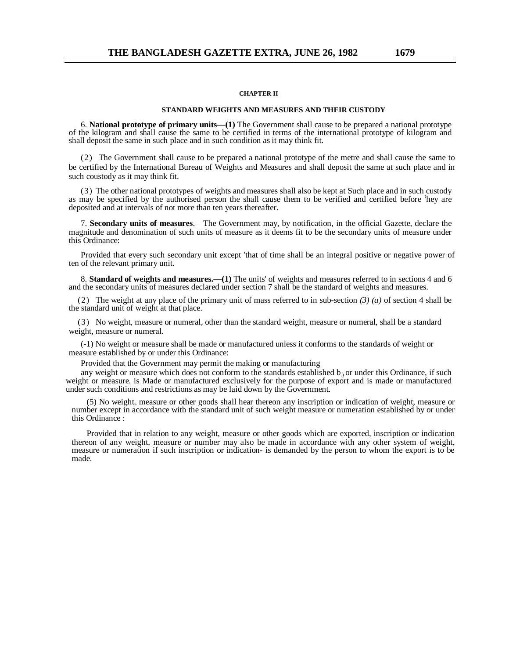#### **CHAPTER II**

#### **STANDARD WEIGHTS AND MEASURES AND THEIR CUSTODY**

6. **National prototype of primary units—(1)** The Government shall cause to be prepared a national prototype of the kilogram and shall cause the same to be certified in terms of the international prototype of kilogram and shall deposit the same in such place and in such condition as it may think fit.

(2) The Government shall cause to be prepared a national prototype of the metre and shall cause the same to be certified by the International Bureau of Weights and Measures and shall deposit the same at such place and in such coustody as it may think fit.

(3) The other national prototypes of weights and measures shall also be kept at Such place and in such custody as may be specified by the authorised person the shall cause them to be verified and certified before 'hey are deposited and at intervals of not more than ten years thereafter.

7. **Secondary units of measures**.—The Government may, by notification, in the official Gazette, declare the magnitude and denomination of such units of measure as it deems fit to be the secondary units of measure under this Ordinance:

Provided that every such secondary unit except 'that of time shall be an integral positive or negative power of ten of the relevant primary unit.

8. **Standard of weights and measures.—(1)** The units' of weights and measures referred to in sections 4 and 6 and the secondary units of measures declared under section 7 shall be the standard of weights and measures.

(2) The weight at any place of the primary unit of mass referred to in sub-section *(3) (a)* of section 4 shall be the standard unit of weight at that place.

(3) No weight, measure or numeral, other than the standard weight, measure or numeral, shall be a standard weight, measure or numeral.

(-1) No weight or measure shall be made or manufactured unless it conforms to the standards of weight or measure established by or under this Ordinance:

Provided that the Government may permit the making or manufacturing

any weight or measure which does not conform to the standards established  $b<sub>0</sub>$  or under this Ordinance, if such weight or measure. is Made or manufactured exclusively for the purpose of export and is made or manufactured under such conditions and restrictions as may be laid down by the Government.

(5) No weight, measure or other goods shall hear thereon any inscription or indication of weight, measure or number except in accordance with the standard unit of such weight measure or numeration established by or under this Ordinance :

Provided that in relation to any weight, measure or other goods which are exported, inscription or indication thereon of any weight, measure or number may also be made in accordance with any other system of weight, measure or numeration if such inscription or indication- is demanded by the person to whom the export is to be made.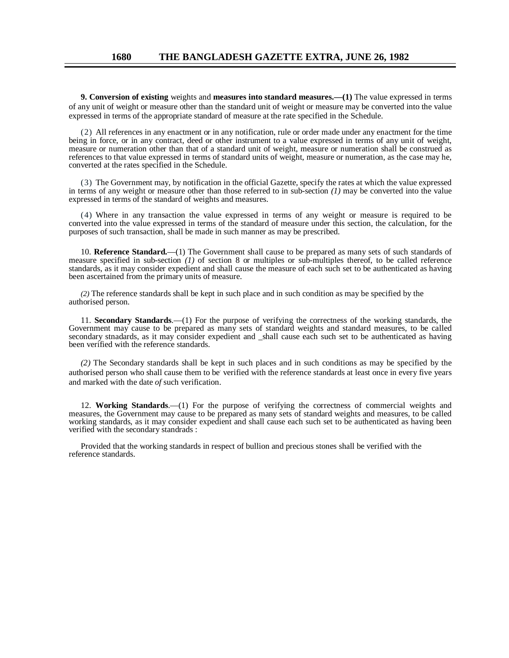**9. Conversion of existing** weights and **measures into standard measures.—(1)** The value expressed in terms of any unit of weight or measure other than the standard unit of weight or measure may be converted into the value expressed in terms of the appropriate standard of measure at the rate specified in the Schedule.

(2) All references in any enactment or in any notification, rule or order made under any enactment for the time being in force, or in any contract, deed or other instrument to a value expressed in terms of any unit of weight, measure or numeration other than that of a standard unit of weight, measure or numeration shall be construed as references to that value expressed in terms of standard units of weight, measure or numeration, as the case may he, converted at the rates specified in the Schedule.

(3) The Government may, by notification in the official Gazette, specify the rates at which the value expressed in terms of any weight or measure other than those referred to in sub-section *(1)* may be converted into the value expressed in terms of the standard of weights and measures.

(4) Where in any transaction the value expressed in terms of any weight or measure is required to be converted into the value expressed in terms of the standard of measure under this section, the calculation, for the purposes of such transaction, shall be made in such manner as may be prescribed.

10. **Reference Standard.**—(1) The Government shall cause to be prepared as many sets of such standards of measure specified in sub-section *(1)* of section 8 or multiples or sub-multiples thereof, to be called reference standards, as it may consider expedient and shall cause the measure of each such set to be authenticated as having been ascertained from the primary units of measure.

*(2)* The reference standards shall be kept in such place and in such condition as may be specified by the authorised person.

11. **Secondary Standards**.—(1) For the purpose of verifying the correctness of the working standards, the Government may cause to be prepared as many sets of standard weights and standard measures, to be called secondary stnadards, as it may consider expedient and \_shall cause each such set to be authenticated as having been verified with the reference standards.

*(2)* The Secondary standards shall be kept in such places and in such conditions as may be specified by the authorised person who shall cause them to be verified with the reference standards at least once in every five years and marked with the date *of* such verification.

12. **Working Standards**.—(1) For the purpose of verifying the correctness of commercial weights and measures, the Government may cause to be prepared as many sets of standard weights and measures, to be called working standards, as it may consider expedient and shall cause each such set to be authenticated as having been verified with the secondary standrads :

Provided that the working standards in respect of bullion and precious stones shall be verified with the reference standards.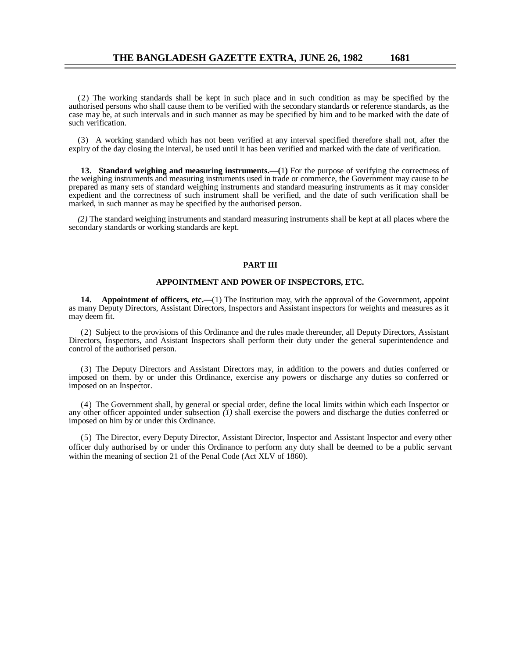(2) The working standards shall be kept in such place and in such condition as may be specified by the authorised persons who shall cause them to be verified with the secondary standards or reference standards, as the case may be, at such intervals and in such manner as may be specified by him and to be marked with the date of such verification.

(3) A working standard which has not been verified at any interval specified therefore shall not, after the expiry of the day closing the interval, be used until it has been verified and marked with the date of verification.

**13. Standard weighing and measuring instruments.—(**1**)** For the purpose of verifying the correctness of the weighing instruments and measuring instruments used in trade or commerce, the Government may cause to be prepared as many sets of standard weighing instruments and standard measuring instruments as it may consider expedient and the correctness of such instrument shall be verified, and the date of such verification shall be marked, in such manner as may be specified by the authorised person.

*(2)* The standard weighing instruments and standard measuring instruments shall be kept at all places where the secondary standards or working standards are kept.

#### **PART III**

#### **APPOINTMENT AND POWER OF INSPECTORS, ETC.**

**14. Appointment of officers, etc.**—(1) The Institution may, with the approval of the Government, appoint as many Deputy Directors, Assistant Directors, Inspectors and Assistant inspectors for weights and measures as it may deem fit.

(2) Subject to the provisions of this Ordinance and the rules made thereunder, all Deputy Directors, Assistant Directors, Inspectors, and Asistant Inspectors shall perform their duty under the general superintendence and control of the authorised person.

(3) The Deputy Directors and Assistant Directors may, in addition to the powers and duties conferred or imposed on them. by or under this Ordinance, exercise any powers or discharge any duties so conferred or imposed on an Inspector.

(4) The Government shall, by general or special order, define the local limits within which each Inspector or any other officer appointed under subsection *(1)* shall exercise the powers and discharge the duties conferred or imposed on him by or under this Ordinance.

(5) The Director, every Deputy Director, Assistant Director, Inspector and Assistant Inspector and every other officer duly authorised by or under this Ordinance to perform any duty shall be deemed to be a public servant within the meaning of section 21 of the Penal Code (Act XLV of 1860).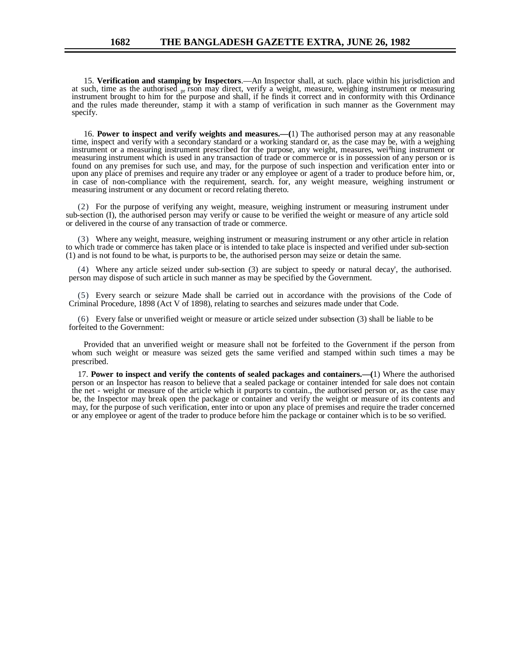15. **Verification and stamping by Inspectors**.—An Inspector shall, at such. place within his jurisdiction and at such, time as the authorised pr rson may direct, verify a weight, measure, weighing instrument or measuring instrument brought to him for the purpose and shall, if he finds it correct and in conformity with this Ordinance and the rules made thereunder, stamp it with a stamp of verification in such manner as the Government may specify.

16. **Power to inspect and verify weights and measures.—(**1) The authorised person may at any reasonable time, inspect and verify with a secondary standard or a working standard or, as the case may be, with a wejghing instrument or a measuring instrument prescribed for the purpose, any weight, measures, wei<sup>g</sup>hing instrument or measuring instrument which is used in any transaction of trade or commerce or is in possession of any person or is found on any premises for such use, and may, for the purpose of such inspection and verification enter into or upon any place of premises and require any trader or any employee or agent of a trader to produce before him, or, in case of non-compliance with the requirement, search. for, any weight measure, weighing instrument or measuring instrument or any document or record relating thereto.

(2) For the purpose of verifying any weight, measure, weighing instrument or measuring instrument under sub-section (I), the authorised person may verify or cause to be verified the weight or measure of any article sold or delivered in the course of any transaction of trade or commerce.

(3) Where any weight, measure, weighing instrument or measuring instrument or any other article in relation to which trade or commerce has taken place or is intended to take place is inspected and verified under sub-section (1) and is not found to be what, is purports to be, the authorised person may seize or detain the same.

(4) Where any article seized under sub-section (3) are subject to speedy or natural decay', the authorised. person may dispose of such article in such manner as may be specified by the Government.

(5) Every search or seizure Made shall be carried out in accordance with the provisions of the Code of Criminal Procedure, 1898 (Act V of 1898), relating to searches and seizures made under that Code.

(6) Every false or unverified weight or measure or article seized under subsection (3) shall be liable to be forfeited to the Government:

Provided that an unverified weight or measure shall not be forfeited to the Government if the person from whom such weight or measure was seized gets the same verified and stamped within such times a may be prescribed.

17. **Power to inspect and verify the contents of sealed packages and containers.—(**1) Where the authorised person or an Inspector has reason to believe that a sealed package or container intended for sale does not contain the net - weight or measure of the article which it purports to contain., the authorised person or, as the case may be, the Inspector may break open the package or container and verify the weight or measure of its contents and may, for the purpose of such verification, enter into or upon any place of premises and require the trader concerned or any employee or agent of the trader to produce before him the package or container which is to be so verified.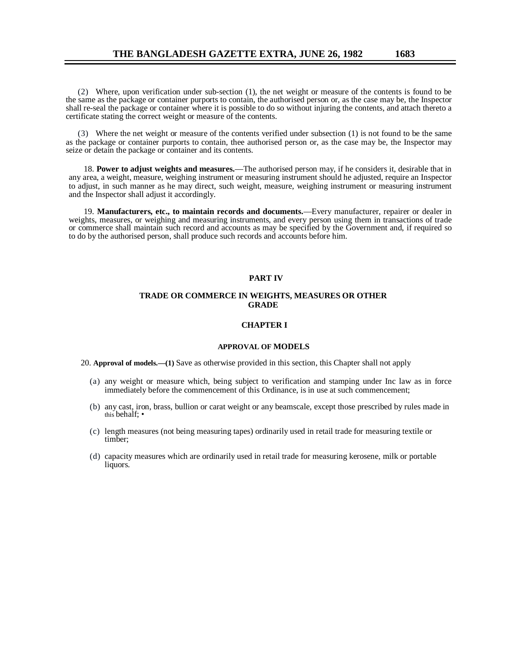(2) Where, upon verification under sub-section (1), the net weight or measure of the contents is found to be the same as the package or container purports to contain, the authorised person or, as the case may be, the Inspector shall re-seal the package or container where it is possible to do so without injuring the contents, and attach thereto a certificate stating the correct weight or measure of the contents.

(3) Where the net weight or measure of the contents verified under subsection (1) is not found to be the same as the package or container purports to contain, thee authorised person or, as the case may be, the Inspector may seize or detain the package or container and its contents.

18. **Power to adjust weights and measures.**—The authorised person may, if he considers it, desirable that in any area, a weight, measure, weighing instrument or measuring instrument should he adjusted, require an Inspector to adjust, in such manner as he may direct, such weight, measure, weighing instrument or measuring instrument and the Inspector shall adjust it accordingly.

19. **Manufacturers, etc., to maintain records and documents.**—Every manufacturer, repairer or dealer in weights, measures, or weighing and measuring instruments, and every person using them in transactions of trade or commerce shall maintain such record and accounts as may be specified by the Government and, if required so to do by the authorised person, shall produce such records and accounts before him.

#### **PART IV**

#### **TRADE OR COMMERCE IN WEIGHTS, MEASURES OR OTHER GRADE**

#### **CHAPTER I**

#### **APPROVAL OF MODELS**

20. **Approval of models.—(1)** Save as otherwise provided in this section, this Chapter shall not apply

- (a) any weight or measure which, being subject to verification and stamping under Inc law as in force immediately before the commencement of this Ordinance, is in use at such commencement;
- (b) any cast, iron, brass, bullion or carat weight or any beamscale, except those prescribed by rules made in this behalf; •
- (c) length measures (not being measuring tapes) ordinarily used in retail trade for measuring textile or timber;
- (d) capacity measures which are ordinarily used in retail trade for measuring kerosene, milk or portable liquors.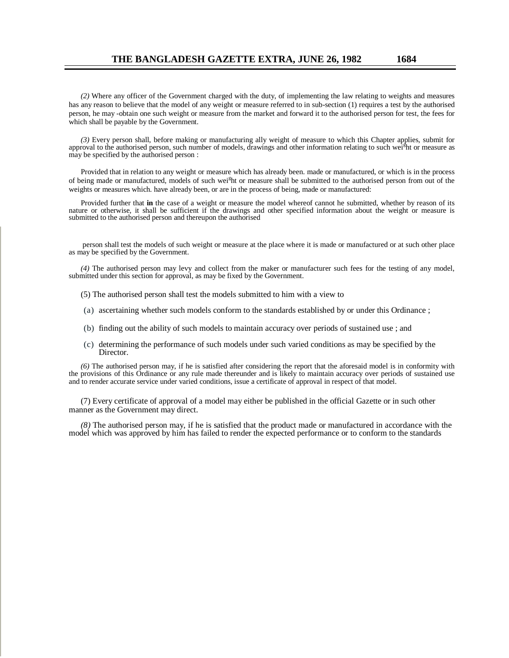*(2)* Where any officer of the Government charged with the duty, of implementing the law relating to weights and measures has any reason to believe that the model of any weight or measure referred to in sub-section (1) requires a test by the authorised person, he may -obtain one such weight or measure from the market and forward it to the authorised person for test, the fees for which shall be payable by the Government.

*(3)* Every person shall, before making or manufacturing ally weight of measure to which this Chapter applies, submit for approval to the authorised person, such number of models, drawings and other information relating to such wei<sup>g</sup>ht or measure as may be specified by the authorised person :

Provided that in relation to any weight or measure which has already been. made or manufactured, or which is in the process of being made or manufactured, models of such wei<sup>g</sup>ht or measure shall be submitted to the authorised person from out of the weights or measures which. have already been, or are in the process of being, made or manufactured:

Provided further that **in** the case of a weight or measure the model whereof cannot he submitted, whether by reason of its nature or otherwise, it shall be sufficient if the drawings and other specified information about the weight or measure is submitted to the authorised person and thereupon the authorised

 person shall test the models of such weight or measure at the place where it is made or manufactured or at such other place as may be specified by the Government.

*(4)* The authorised person may levy and collect from the maker or manufacturer such fees for the testing of any model, submitted under this section for approval, as may be fixed by the Government.

- (5) The authorised person shall test the models submitted to him with a view to
- (a) ascertaining whether such models conform to the standards established by or under this Ordinance ;
- (b) finding out the ability of such models to maintain accuracy over periods of sustained use ; and
- (c) determining the performance of such models under such varied conditions as may be specified by the Director.

*(6)* The authorised person may, if he is satisfied after considering the report that the aforesaid model is in conformity with the provisions of this Ordinance or any rule made thereunder and is likely to maintain accuracy over periods of sustained use and to render accurate service under varied conditions, issue a certificate of approval in respect of that model.

(7) Every certificate of approval of a model may either be published in the official Gazette or in such other manner as the Government may direct.

*(8)* The authorised person may, if he is satisfied that the product made or manufactured in accordance with the model which was approved by him has failed to render the expected performance or to conform to the standards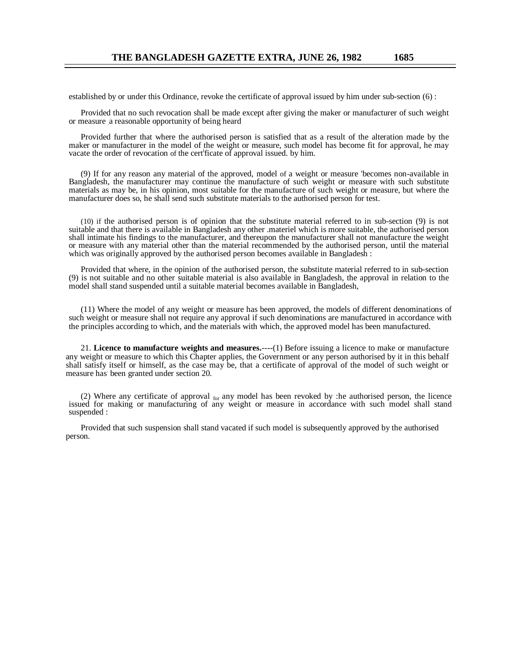established by or under this Ordinance, revoke the certificate of approval issued by him under sub-section (6) :

Provided that no such revocation shall be made except after giving the maker or manufacturer of such weight or measure .a reasonable opportunity of being heard

Provided further that where the authorised person is satisfied that as a result of the alteration made by the maker or manufacturer in the model of the weight or measure, such model has become fit for approval, he may vacate the order of revocation of the cert<sup>i</sup>ficate of approval issued. by him.

(9) If for any reason any material of the approved, model of a weight or measure 'becomes non-available in Bangladesh, the manufacturer may continue the manufacture of such weight or measure with such substitute materials as may be, in his opinion, most suitable for the manufacture of such weight or measure, but where the manufacturer does so, he shall send such substitute materials to the authorised person for test.

(10) if the authorised person is of opinion that the substitute material referred to in sub-section (9) is not suitable and that there is available in Bangladesh any other .materiel which is more suitable, the authorised person shall intimate his findings to the manufacturer, and thereupon the manufacturer shall not manufacture the weight or measure with any material other than the material recommended by the authorised person, until the material which was originally approved by the authorised person becomes available in Bangladesh :

Provided that where, in the opinion of the authorised person, the substitute material referred to in sub-section (9) is not suitable and no other suitable material is also available in Bangladesh, the approval in relation to the model shall stand suspended until a suitable material becomes available in Bangladesh,

(11) Where the model of any weight or measure has been approved, the models of different denominations of such weight or measure shall not require any approval if such denominations are manufactured in accordance with the principles according to which, and the materials with which, the approved model has been manufactured.

21. **Licence to manufacture weights and measures.**----(1) Before issuing a licence to make or manufacture any weight or measure to which this Chapter applies, the Government or any person authorised by it in this behalf shall satisfy itself or himself, as the case may be, that a certificate of approval of the model of such weight or measure has been granted under section 20.

(2) Where any certificate of approval for any model has been revoked by :he authorised person, the licence issued for making or manufacturing of any weight or measure in accordance with such model shall stand suspended :

Provided that such suspension shall stand vacated if such model is subsequently approved by the authorised person.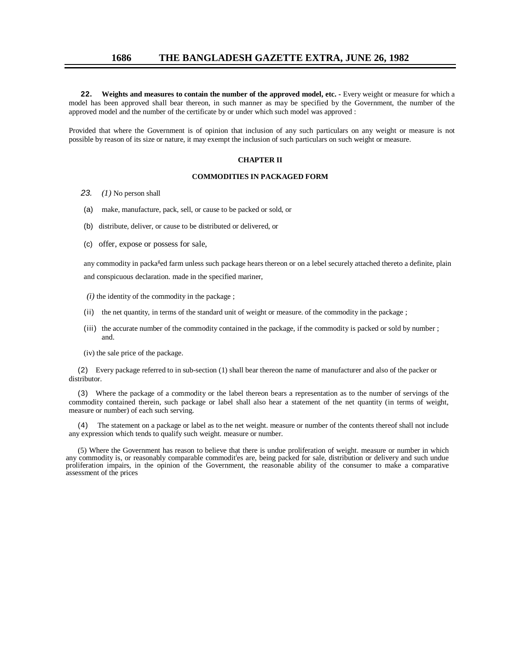**22. Weights and measures to contain the number of the approved model, etc. -** Every weight or measure for which a model has been approved shall bear thereon, in such manner as may be specified by the Government, the number of the approved model and the number of the certificate by or under which such model was approved :

Provided that where the Government is of opinion that inclusion of any such particulars on any weight or measure is not possible by reason of its size or nature, it may exempt the inclusion of such particulars on such weight or measure.

#### **CHAPTER II**

#### **COMMODITIES IN PACKAGED FORM**

- *23. (1)* No person shall
- (a) make, manufacture, pack, sell, or cause to be packed or sold, or
- (b) distribute, deliver, or cause to be distributed or delivered, or
- (c) offer, expose or possess for sale,

any commodity in packa<sup>g</sup>ed farm unless such package hears thereon or on a lebel securely attached thereto a definite, plain and conspicuous declaration. made in the specified mariner,

- $(i)$  the identity of the commodity in the package ;
- (ii) the net quantity, in terms of the standard unit of weight or measure. of the commodity in the package ;
- (iii) the accurate number of the commodity contained in the package, if the commodity is packed or sold by number ; and.
- (iv) the sale price of the package.

(2) Every package referred to in sub-section (1) shall bear thereon the name of manufacturer and also of the packer or distributor.

(3) Where the package of a commodity or the label thereon bears a representation as to the number of servings of the commodity contained therein, such package or label shall also hear a statement of the net quantity (in terms of weight, measure or number) of each such serving.

(4) The statement on a package or label as to the net weight. measure or number of the contents thereof shall not include any expression which tends to qualify such weight. measure or number.

(5) Where the Government has reason to believe that there is undue proliferation of weight. measure or number in which any commodity is, or reasonably comparable commodities are, being packed for sale, distribution or delivery and such undue proliferation impairs, in the opinion of the Government, the reasonable ability of the consumer to make a comparative assessment of the prices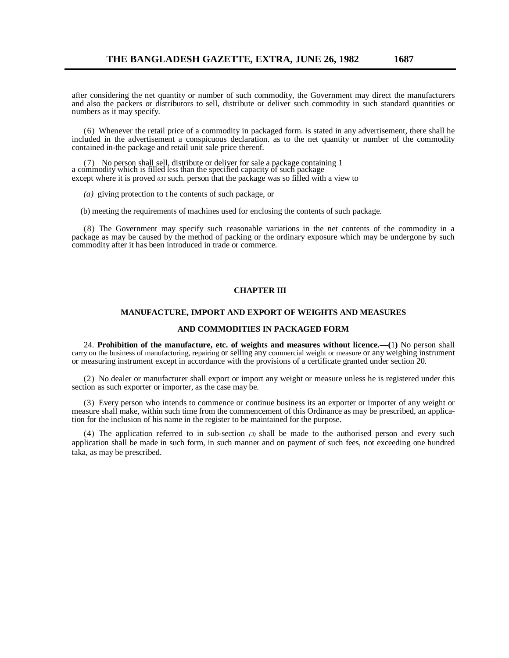after considering the net quantity or number of such commodity, the Government may direct the manufacturers and also the packers or distributors to sell, distribute or deliver such commodity in such standard quantities or numbers as it may specify.

(6) Whenever the retail price of a commodity in packaged form. is stated in any advertisement, there shall he included in the advertisement a conspicuous declaration. as to the net quantity or number of the commodity contained in-the package and retail unit sale price thereof.

(7) No person shall sell, distribute or deliver for sale a package containing 1 a commodity which is filled less than the specified capacity of such package except where it is proved *031* such. person that the package was so filled with a view to

*(a)* giving protection to t he contents of such package, or

(b) meeting the requirements of machines used for enclosing the contents of such package.

(8) The Government may specify such reasonable variations in the net contents of the commodity in a package as may be caused by the method of packing or the ordinary exposure which may be undergone by such commodity after it has been introduced in trade or commerce.

#### **CHAPTER III**

#### **MANUFACTURE, IMPORT AND EXPORT OF WEIGHTS AND MEASURES**

#### **AND COMMODITIES IN PACKAGED FORM**

24. **Prohibition of the manufacture, etc. of weights and measures without licence.—(**1**)** No person shall carry on the business of manufacturing, repairing or selling any commercial weight or measure or any weighing instrument or measuring instrument except in accordance with the provisions of a certificate granted under section 20.

(2) No dealer or manufacturer shall export or import any weight or measure unless he is registered under this section as such exporter or importer, as the case may be.

(3) Every person who intends to commence or continue business its an exporter or importer of any weight or measure shall make, within such time from the commencement of this Ordinance as may be prescribed, an application for the inclusion of his name in the register to be maintained for the purpose.

(4) The application referred to in sub-section *(3)* shall be made to the authorised person and every such application shall be made in such form, in such manner and on payment of such fees, not exceeding one hundred taka, as may be prescribed.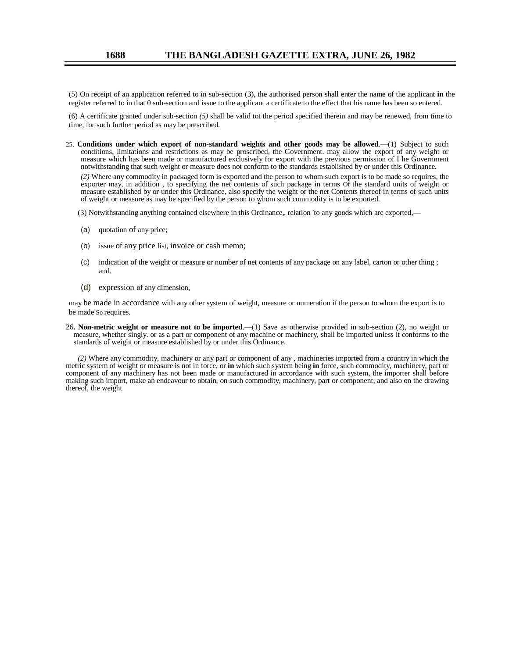(5) On receipt of an application referred to in sub-section (3), the authorised person shall enter the name of the applicant **in** the register referred to in that 0 sub-section and issue to the applicant a certificate to the effect that his name has been so entered.

(6) A certificate granted under sub-section *(5)* shall be valid tot the period specified therein and may be renewed, from time to time, for such further period as may be prescribed.

25. **Conditions under which export of non-standard weights and other goods may be allowed**.—(1) Subject to such conditions, limitations and restrictions as may be proscribed, the Government. may allow the export of any weight or measure which has been made or manufactured exclusively for export with the previous permission of I he Government notwithstanding that such weight or measure does not conform to the standards established by or under this Ordinance.

*(2)* Where any commodity in packaged form is exported and the person to whom such export is to be made so requires, the exporter may, in addition , to specifying the net contents of such package in terms Of the standard units of weight or measure established by or under this Ordinance, also specify the weight or the net Contents thereof in terms of such units of weight or measure as may be specified by the person to whom such commodity is to be exported. •

(3) Notwithstanding anything contained elsewhere in this Ordinance,, relation to any goods which are exported,

- (a) quotation of any price;
- (b) issue of any price list, invoice or cash memo;
- (c) indication of the weight or measure or number of net contents of any package on any label, carton or other thing ; and.
- (d) expression of any dimension,

may be made in accordance with any other system of weight, measure or numeration if the person to whom the export is to be made So requires.

26**. Non-metric weight or measure not to be imported**.—(1) Save as otherwise provided in sub-section (2), no weight or measure, whether singly. or as a part or component of any machine or machinery, shall be imported unless it conforms to the standards of weight or measure established by or under this Ordinance.

*(2)* Where any commodity, machinery or any part or component of any , machineries imported from a country in which the metric system of weight or measure is not in force, or **in** which such system being **in** force, such commodity, machinery, part or component of any machinery has not been made or manufactured in accordance with such system, the importer shall before making such import, make an endeavour to obtain, on such commodity, machinery, part or component, and also on the drawing thereof, the weight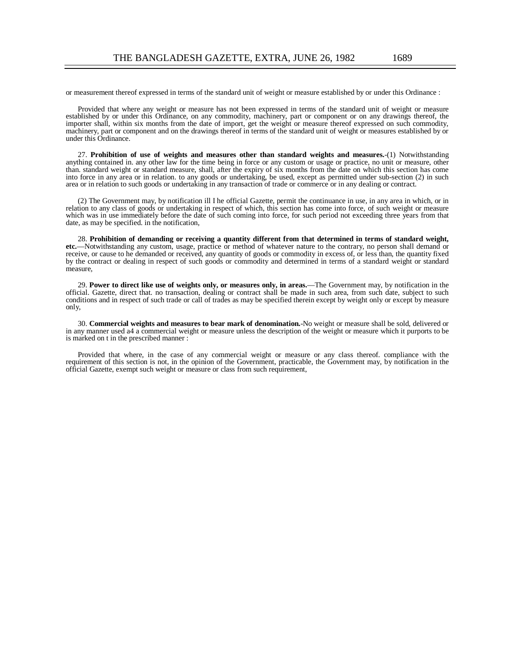or measurement thereof expressed in terms of the standard unit of weight or measure established by or under this Ordinance :

Provided that where any weight or measure has not been expressed in terms of the standard unit of weight or measure established by or under this Ordinance, on any commodity, machinery, part or component or on any drawings thereof, the importer shall, within six months from the date of import, get the weight or measure thereof expressed on such commodity, machinery, part or component and on the drawings thereof in terms of the standard unit of weight or measures established by or under this Ordinance.

27. **Prohibition of use of weights and measures other than standard weights and measures.**-(1) Notwithstanding anything contained in. any other law for the time being in force or any custom or usage or practice, no unit or measure, other than. standard weight or standard measure, shall, after the expiry of six months from the date on which this section has come into force in any area or in relation. to any goods or undertaking, be used, except as permitted under sub-section (2) in such area or in relation to such goods or undertaking in any transaction of trade or commerce or in any dealing or contract.

(2) The Government may, by notification ill I he official Gazette, permit the continuance in use, in any area in which, or in relation to any class of goods or undertaking in respect of which, this section has come into force, of such weight or measure which was in use immediately before the date of such coming into force, for such period not exceeding three years from that date, as may be specified. in the notification,

28. **Prohibition of demanding or receiving a quantity different from that determined in terms of standard weight, etc.**—Notwithstanding any custom, usage, practice or method of whatever nature to the contrary, no person shall demand or receive, or cause to he demanded or received, any quantity of goods or commodity in excess of, or less than, the quantity fixed by the contract or dealing in respect of such goods or commodity and determined in terms of a standard weight or standard measure,

29. **Power to direct like use of weights only, or measures only, in areas.**—The Government may, by notification in the official. Gazette, direct that. no transaction, dealing or contract shall be made in such area, from such date, subject to such conditions and in respect of such trade or call of trades as may be specified therein except by weight only or except by measure only,

30. **Commercial weights and measures to bear mark of denomination.**-No weight or measure shall be sold, delivered or in any manner used a4 a commercial weight or measure unless the description of the weight or measure which it purports to be is marked on t in the prescribed manner :

Provided that where, in the case of any commercial weight or measure or any class thereof. compliance with the requirement of this section is not, in the opinion of the Government, practicable, the Government may, by notification in the official Gazette, exempt such weight or measure or class from such requirement,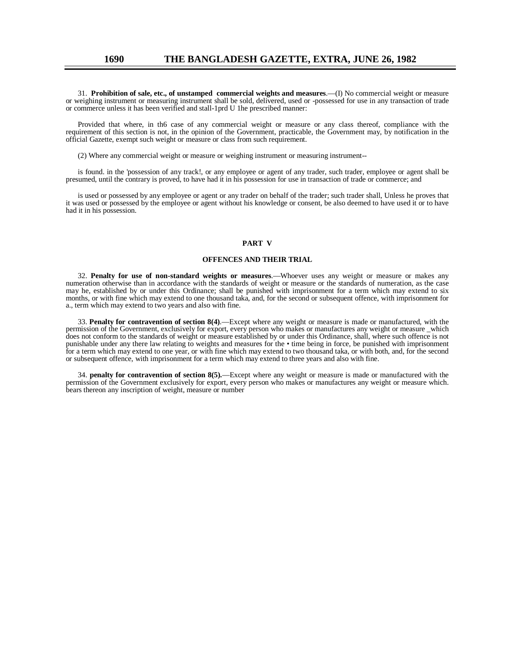31. **Prohibition of sale, etc., of unstamped commercial weights and measures**.—(I) No commercial weight or measure or weighing instrument or measuring instrument shall be sold, delivered, used or -possessed for use in any transaction of trade or commerce unless it has been verified and stall-1prd U 1he prescribed manner:

Provided that where, in th6 case of any commercial weight or measure or any class thereof, compliance with the requirement of this section is not, in the opinion of the Government, practicable, the Government may, by notification in the official Gazette, exempt such weight or measure or class from such requirement.

(2) Where any commercial weight or measure or weighing instrument or measuring instrument--

is found. in the 'possession of any track!, or any employee or agent of any trader, such trader, employee or agent shall be presumed, until the contrary is proved, to have had it in his possession for use in transaction of trade or commerce; and

is used or possessed by any employee or agent or any trader on behalf of the trader; such trader shall, Unless he proves that it was used or possessed by the employee or agent without his knowledge or consent, be also deemed to have used it or to have had it in his possession.

#### **PART V**

#### **OFFENCES AND THEIR TRIAL**

32. **Penalty for use of non-standard weights or measures**.—Whoever uses any weight or measure or makes any numeration otherwise than in accordance with the standards of weight or measure or the standards of numeration, as the case may he, established by or under this Ordinance; shall be punished with imprisonment for a term which may extend to six months, or with fine which may extend to one thousand taka, and, for the second or subsequent offence, with imprisonment for a., term which may extend to two years and also with fine.

33. **Penalty for contravention of section 8(4)**.—Except where any weight or measure is made or manufactured, with the permission of the Government, exclusively for export, every person who makes or manufactures any weight or measure \_which does not conform to the standards of weight or measure established by or under this Ordinance, shall, where such offence is not punishable under any there law relating to weights and measures for the • time being in force, be punished with imprisonment for a term which may extend to one year, or with fine which may extend to two thousand taka, or with both, and, for the second or subsequent offence, with imprisonment for a term which may extend to three years and also with fine.

34. **penalty for contravention of section 8(5).**—Except where any weight or measure is made or manufactured with the permission of the Government exclusively for export, every person who makes or manufactures any weight or measure which. bears thereon any inscription of weight, measure or number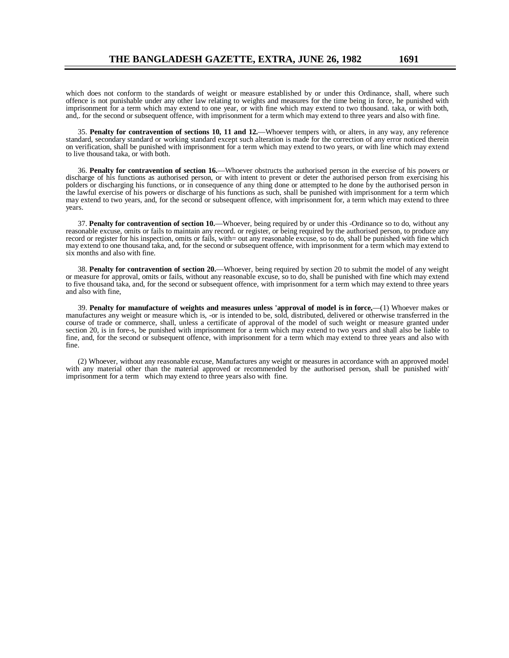which does not conform to the standards of weight or measure established by or under this Ordinance, shall, where such offence is not punishable under any other law relating to weights and measures for the time being in force, he punished with imprisonment for a term which may extend to one year, or with fine which may extend to two thousand. taka, or with both, and,. for the second or subsequent offence, with imprisonment for a term which may extend to three years and also with fine.

35. **Penalty for contravention of sections 10, 11 and 12.**—Whoever tempers with, or alters, in any way, any reference standard, secondary standard or working standard except such alteration is made for the correction of any error noticed therein on verification, shall be punished with imprisonment for a term which may extend to two years, or with line which may extend to live thousand taka, or with both.

36. **Penalty for contravention of section 16.**—Whoever obstructs the authorised person in the exercise of his powers or discharge of his functions as authorised person, or with intent to prevent or deter the authorised person from exercising his polders or discharging his functions, or in consequence of any thing done or attempted to he done by the authorised person in the lawful exercise of his powers or discharge of his functions as such, shall be punished with imprisonment for a term which may extend to two years, and, for the second or subsequent offence, with imprisonment for, a term which may extend to three years.

37. **Penalty for contravention of section 10.**—Whoever, being required by or under this -Ordinance so to do, without any reasonable excuse, omits or fails to maintain any record. or register, or being required by the authorised person, to produce any record or register for his inspection, omits or fails, with= out any reasonable excuse, so to do, shall be punished with fine which may extend to one thousand taka, and, for the second or subsequent offence, with imprisonment for a term which may extend to six months and also with fine.

38. **Penalty for contravention of section 20.**—Whoever, being required by section 20 to submit the model of any weight or measure for approval, omits or fails, without any reasonable excuse, so to do, shall be punished with fine which may extend to five thousand taka, and, for the second or subsequent offence, with imprisonment for a term which may extend to three years and also with fine,

39. **Penalty for manufacture of weights and measures unless 'approval of model is in force,**—(1) Whoever makes or manufactures any weight or measure which is, -or is intended to be, sold, distributed, delivered or otherwise transferred in the course of trade or commerce, shall, unless a certificate of approval of the model of such weight or measure granted under section 20, is in fore-s, be punished with imprisonment for a term which may extend to two years and shall also be liable to fine, and, for the second or subsequent offence, with imprisonment for a term which may extend to three years and also with fine.

(2) Whoever, without any reasonable excuse, Manufactures any weight or measures in accordance with an approved model with any material other than the material approved or recommended by the authorised person, shall be punished with' imprisonment for a term which may extend to three years also with fine.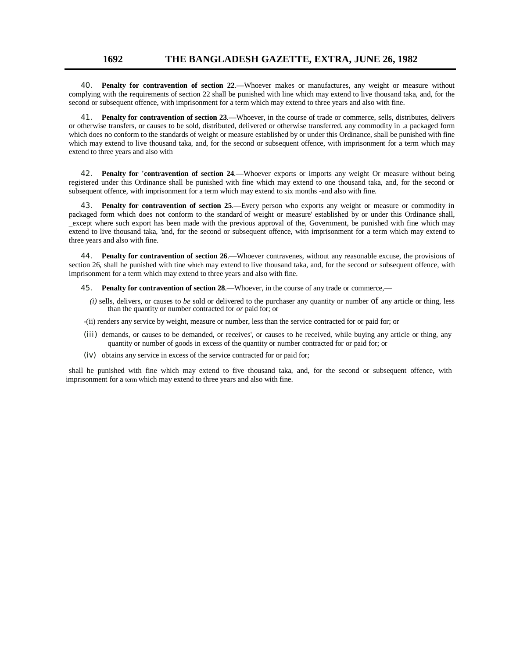### **1692 THE BANGLADESH GAZETTE, EXTRA, JUNE 26, 1982**

40. **Penalty for contravention of section 22**.—Whoever makes or manufactures, any weight or measure without complying with the requirements of section 22 shall be punished with line which may extend to live thousand taka, and, for the second or subsequent offence, with imprisonment for a term which may extend to three years and also with fine.

41. **Penalty for contravention of section 23**.—Whoever, in the course of trade or commerce, sells, distributes, delivers or otherwise transfers, or causes to be sold, distributed, delivered or otherwise transferred. any commodity in .a packaged form which does no conform to the standards of weight or measure established by or under this Ordinance, shall be punished with fine which may extend to live thousand taka, and, for the second or subsequent offence, with imprisonment for a term which may extend to three years and also with

42. **Penalty for 'contravention of section 24**.—Whoever exports or imports any weight Or measure without being registered under this Ordinance shall be punished with fine which may extend to one thousand taka, and, for the second or subsequent offence, with imprisonment for a term which may extend to six months -and also with fine.

43. **Penalty for contravention of section 25**.—Every person who exports any weight or measure or commodity in packaged form which does not conform to the standard of weight or measure' established by or under this Ordinance shall, \_except where such export has been made with the previous approval of the, Government, be punished with fine which may extend to live thousand taka, 'and, for the second or subsequent offence, with imprisonment for a term which may extend to three years and also with fine.

44. **Penalty for contravention of section 26**.—Whoever contravenes, without any reasonable excuse, the provisions of section 26, shall he punished with tine which may extend to live thousand taka, and, for the second *or* subsequent offence, with imprisonment for a term which may extend to three years and also with fine.

- 45. **Penalty for contravention of section 28**.—Whoever, in the course of any trade or commerce,—
	- *(i)* sells, delivers, or causes to *be* sold or delivered to the purchaser any quantity or number of any article or thing, less than the quantity or number contracted for *or* paid for; or
- -(ii) renders any service by weight, measure or number, less than the service contracted for or paid for; or
- (iii) demands, or causes to be demanded, or receives', or causes to he received, while buying any article or thing, any quantity or number of goods in excess of the quantity or number contracted for or paid for; or
- (iv) obtains any service in excess of the service contracted for or paid for;

shall he punished with fine which may extend to five thousand taka, and, for the second or subsequent offence, with imprisonment for a term which may extend to three years and also with fine.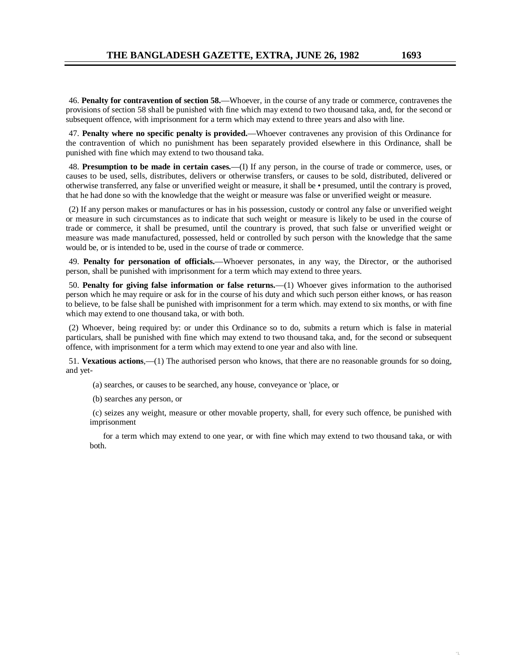"1,

46. **Penalty for contravention of section 58.**—Whoever, in the course of any trade or commerce, contravenes the provisions of section 58 shall be punished with fine which may extend to two thousand taka, and, for the second or subsequent offence, with imprisonment for a term which may extend to three years and also with line.

47. **Penalty where no specific penalty is provided.**—Whoever contravenes any provision of this Ordinance for the contravention of which no punishment has been separately provided elsewhere in this Ordinance, shall be punished with fine which may extend to two thousand taka.

48. **Presumption to be made in certain cases.**—(I) If any person, in the course of trade or commerce, uses, or causes to be used, sells, distributes, delivers or otherwise transfers, or causes to be sold, distributed, delivered or otherwise transferred, any false or unverified weight or measure, it shall be • presumed, until the contrary is proved, that he had done so with the knowledge that the weight or measure was false or unverified weight or measure.

(2) If any person makes or manufactures or has in his possession, custody or control any false or unverified weight or measure in such circumstances as to indicate that such weight or measure is likely to be used in the course of trade or commerce, it shall be presumed, until the countrary is proved, that such false or unverified weight or measure was made manufactured, possessed, held or controlled by such person with the knowledge that the same would be, or is intended to be, used in the course of trade or commerce.

49. **Penalty for personation of officials.**—Whoever personates, in any way, the Director, or the authorised person, shall be punished with imprisonment for a term which may extend to three years.

50. **Penalty for giving false information or false returns.**—(1) Whoever gives information to the authorised person which he may require or ask for in the course of his duty and which such person either knows, or has reason to believe, to be false shall be punished with imprisonment for a term which. may extend to six months, or with fine which may extend to one thousand taka, or with both.

(2) Whoever, being required by: or under this Ordinance so to do, submits a return which is false in material particulars, shall be punished with fine which may extend to two thousand taka, and, for the second or subsequent offence, with imprisonment for a term which may extend to one year and also with line.

51. **Vexatious actions**,—(1) The authorised person who knows, that there are no reasonable grounds for so doing, and yet-

(a) searches, or causes to be searched, any house, conveyance or 'place, or

(b) searches any person, or

(c) seizes any weight, measure or other movable property, shall, for every such offence, be punished with imprisonment

 for a term which may extend to one year, or with fine which may extend to two thousand taka, or with both.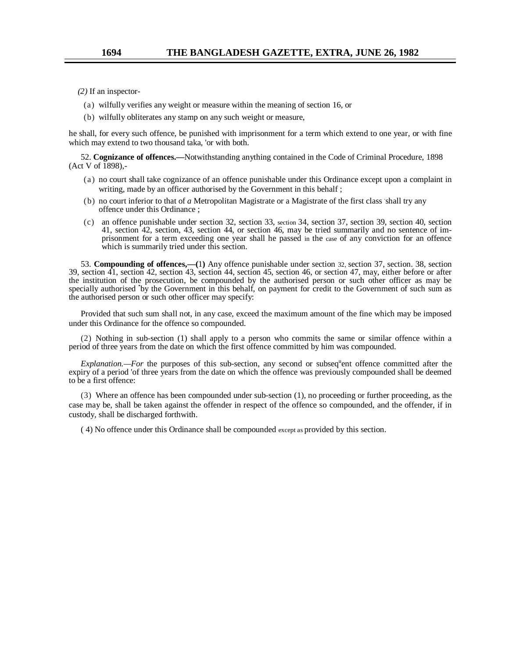*(2)* If an inspector-

- (a) wilfully verifies any weight or measure within the meaning of section 16, or
- (b) wilfully obliterates any stamp on any such weight or measure,

he shall, for every such offence, be punished with imprisonment for a term which extend to one year, or with fine which may extend to two thousand taka, 'or with both.

52. **Cognizance of offences.—**Notwithstanding anything contained in the Code of Criminal Procedure, 1898  $(Act V of 1898)$ ,-

- (a) no court shall take cognizance of an offence punishable under this Ordinance except upon a complaint in writing, made by an officer authorised by the Government in this behalf ;
- (b) no court inferior to that of *a* Metropolitan Magistrate or a Magistrate of the first class shall try any offence under this Ordinance ;
- (c) an offence punishable under section 32, section 33, section 34, section 37, section 39, section 40, section 41, section 42, section, 43, section 44, or section 46, may be tried summarily and no sentence of imprisonment for a term exceeding one year shall he passed in the case of any conviction for an offence which is summarily tried under this section.

53. **Compounding of offences,—(**1**)** Any offence punishable under section 32, section 37, section. 38, section 39, section 41, section 42, section 43, section 44, section 45, section 46, or section 47, may, either before or after the institution of the prosecution, be compounded by the authorised person or such other officer as may be specially authorised 'by the Government in this behalf, on payment for credit to the Government of such sum as the authorised person or such other officer may specify:

Provided that such sum shall not, in any case, exceed the maximum amount of the fine which may be imposed under this Ordinance for the offence so compounded.

(2) Nothing in sub-section (1) shall apply to a person who commits the same or similar offence within a period of three years from the date on which the first offence committed by him was compounded.

*Explanation.—For* the purposes of this sub-section, any second or subseq<sup>u</sup>ent offence committed after the expiry of a period 'of three years from the date on which the offence was previously compounded shall be deemed to be a first offence:

(3) Where an offence has been compounded under sub-section (1), no proceeding or further proceeding, as the case may be, shall be taken against the offender in respect of the offence so compounded, and the offender, if in custody, shall be discharged forthwith.

( 4) No offence under this Ordinance shall be compounded except as provided by this section.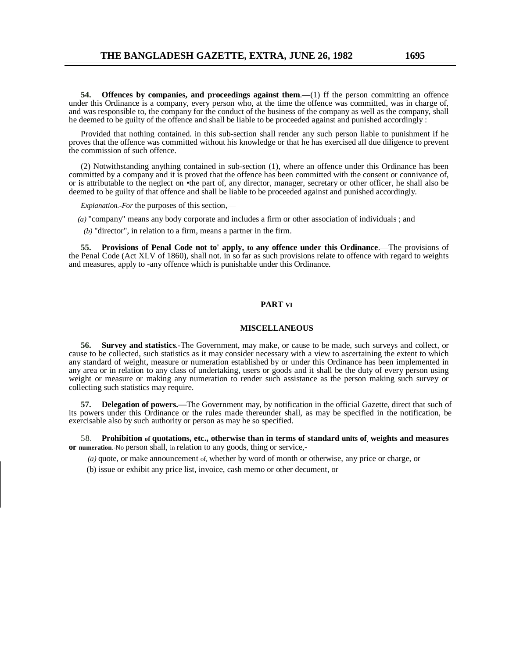**54. Offences by companies, and proceedings against them**.—(1) ff the person committing an offence under this Ordinance is a company, every person who, at the time the offence was committed, was in charge of, and was responsible to, the company for the conduct of the business of the company as well as the company, shall he deemed to be guilty of the offence and shall be liable to be proceeded against and punished accordingly :

Provided that nothing contained. in this sub-section shall render any such person liable to punishment if he proves that the offence was committed without his knowledge or that he has exercised all due diligence to prevent the commission of such offence.

(2) Notwithstanding anything contained in sub-section (1), where an offence under this Ordinance has been committed by a company and it is proved that the offence has been committed with the consent or connivance of, or is attributable to the neglect on •the part of, any director, manager, secretary or other officer, he shall also be deemed to be guilty of that offence and shall be liable to be proceeded against and punished accordingly.

*Explanation.-For* the purposes of this section,—

*(a)* "company" means any body corporate and includes a firm or other association of individuals ; and

*(b)* "director", in relation to a firm, means a partner in the firm.

**55. Provisions of Penal Code not to' apply, to any offence under this Ordinance**.—The provisions of the Penal Code (Act XLV of 1860), shall not. in so far as such provisions relate to offence with regard to weights and measures, apply to -any offence which is punishable under this Ordinance.

#### **PART VI**

#### **MISCELLANEOUS**

**56. Survey and statistics**.-The Government, may make, or cause to be made, such surveys and collect, or cause to be collected, such statistics as it may consider necessary with a view to ascertaining the extent to which any standard of weight, measure or numeration established by or under this Ordinance has been implemented in any area or in relation to any class of undertaking, users or goods and it shall be the duty of every person using weight or measure or making any numeration to render such assistance as the person making such survey or collecting such statistics may require.

**57. Delegation of powers.—**The Government may, by notification in the official Gazette, direct that such of its powers under this Ordinance or the rules made thereunder shall, as may be specified in the notification, be exercisable also by such authority or person as may he so specified.

58. **Prohibition of quotations, etc., otherwise than in terms of standard units of, weights and measures or numeration**.-No person shall, in relation to any goods, thing or service,-

 *(a)* quote, or make announcement of, whether by word of month or otherwise, any price or charge, or

(b) issue or exhibit any price list, invoice, cash memo or other decument, or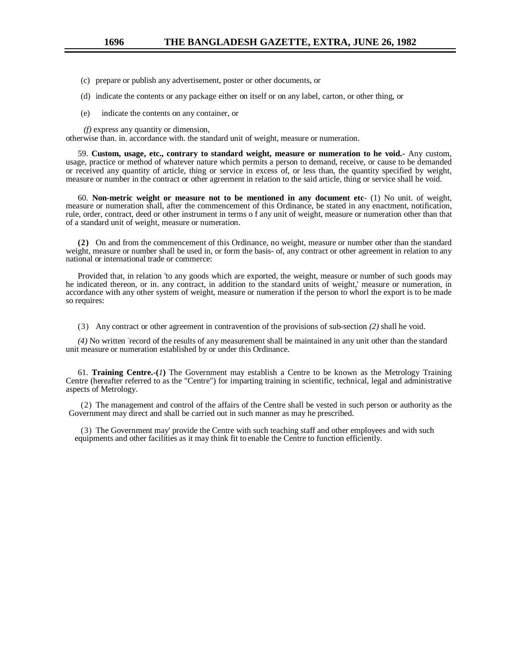- (c) prepare or publish any advertisement, poster or other documents, or
- (d) indicate the contents or any package either on itself or on any label, carton, or other thing, or
- (e) indicate the contents on any container, or

*(f)* express any quantity or dimension,

otherwise than. in. accordance with. the standard unit of weight, measure or numeration.

59. **Custom, usage, etc., contrary to standard weight, measure or numeration to he void.-** Any custom, usage, practice or method of whatever nature which permits a person to demand, receive, or cause to be demanded or received any quantity of article, thing or service in excess of, or less than, the quantity specified by weight, measure or number in the contract or other agreement in relation to the said article, thing or service shall he void.

60. **Non-metric weight or measure not to be mentioned in any document etc**- (1) No unit. of weight, measure or numeration shall, after the commencement of this Ordinance, be stated in any enactment, notification, rule, order, contract, deed or other instrument in terms o f any unit of weight, measure or numeration other than that of a standard unit of weight, measure or numeration.

**(2)** On and from the commencement of this Ordinance, no weight, measure or number other than the standard weight, measure or number shall be used in, or form the basis- of, any contract or other agreement in relation to any national or international trade or commerce:

Provided that, in relation 'to any goods which are exported, the weight, measure or number of such goods may he indicated thereon, or in. any contract, in addition to the standard units of weight,' measure or numeration, in accordance with any other system of weight, measure or numeration if the person to whorl the export is to be made so requires:

(3) Any contract or other agreement in contravention of the provisions of sub-section *(2)* shall he void.

(4) No written record of the results of any measurement shall be maintained in any unit other than the standard unit measure or numeration established by or under this Ordinance.

61. **Training Centre.-(***1***)** The Government may establish a Centre to be known as the Metrology Training Centre (hereafter referred to as the "Centre") for imparting training in scientific, technical, legal and administrative aspects of Metrology.

(2) The management and control of the affairs of the Centre shall be vested in such person or authority as the Government may direct and shall be carried out in such manner as may he prescribed.

(3) The Government may' provide the Centre with such teaching staff and other employees and with such equipments and other facilities as it may think fit to enable the Centre to function efficiently.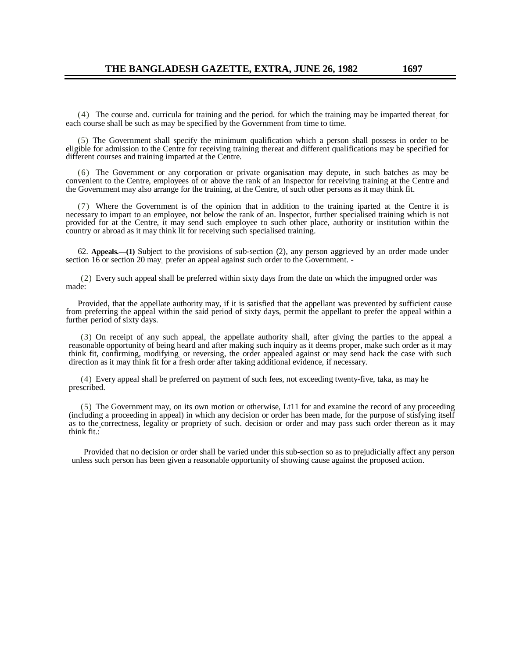(4) The course and. curricula for training and the period. for which the training may be imparted thereat, for each course shall be such as may be specified by the Government from time to time.

(5) The Government shall specify the minimum qualification which a person shall possess in order to be eligible for admission to the Centre for receiving training thereat and different qualifications may be specified for different courses and training imparted at the Centre.

(6) The Government or any corporation or private organisation may depute, in such batches as may be convenient to the Centre, employees of or above the rank of an Inspector for receiving training at the Centre and the Government may also arrange for the training, at the Centre, of such other persons as it may think fit.

(7) Where the Government is of the opinion that in addition to the training iparted at the Centre it is necessary to impart to an employee, not below the rank of an. Inspector, further specialised training which is not provided for at the Centre, it may send such employee to such other place, authority or institution within the country or abroad as it may think lit for receiving such specialised training.

62. **Appeals.—(1)** Subject to the provisions of sub-section (2), any person aggrieved by an order made under section 16 or section 20 may prefer an appeal against such order to the Government. -

(2) Every such appeal shall be preferred within sixty days from the date on which the impugned order was made:

Provided, that the appellate authority may, if it is satisfied that the appellant was prevented by sufficient cause from preferring the appeal within the said period of sixty days, permit the appellant to prefer the appeal within a further period of sixty days.

(3) On receipt of any such appeal, the appellate authority shall, after giving the parties to the appeal a reasonable opportunity of being heard and after making such inquiry as it deems proper, make such order as it may think fit, confirming, modifying. or reversing, the order appealed against or may send hack the case with such direction as it may think fit for a fresh order after taking additional evidence, if necessary.

(4) Every appeal shall be preferred on payment of such fees, not exceeding twenty-five, taka, as may he prescribed.

(5) The Government may, on its own motion or otherwise, Lt11 for and examine the record of any proceeding (including a proceeding in appeal) in which any decision or order has been made, for the purpose of stisfying itself as to the correctness, legality or propriety of such. decision or order and may pass such order thereon as it may think fit.:

Provided that no decision or order shall be varied under this sub-section so as to prejudicially affect any person unless such person has been given a reasonable opportunity of showing cause against the proposed action.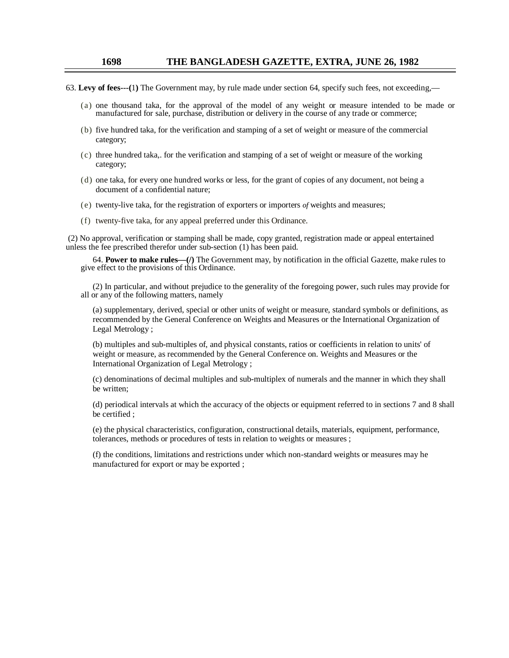### **1698 THE BANGLADESH GAZETTE, EXTRA, JUNE 26, 1982**

- 63. **Levy of fees---(**1**)** The Government may, by rule made under section 64, specify such fees, not exceeding,—
	- (a) one thousand taka, for the approval of the model of any weight or measure intended to be made or manufactured for sale, purchase, distribution or delivery in the course of any trade or commerce;
	- (b) five hundred taka, for the verification and stamping of a set of weight or measure of the commercial category;
	- (c) three hundred taka,. for the verification and stamping of a set of weight or measure of the working category;
	- (d) one taka, for every one hundred works or less, for the grant of copies of any document, not being a document of a confidential nature;
	- (e) twenty-live taka, for the registration of exporters or importers *of* weights and measures;
	- (f) twenty-five taka, for any appeal preferred under this Ordinance.

(2) No approval, verification or stamping shall be made, copy granted, registration made or appeal entertained unless the fee prescribed therefor under sub-section (1) has been paid.

64. **Power to make rules—(/)** The Government may, by notification in the official Gazette, make rules to give effect to the provisions of this Ordinance.

(2) In particular, and without prejudice to the generality of the foregoing power, such rules may provide for all or any of the following matters, namely

(a) supplementary, derived, special or other units of weight or measure, standard symbols or definitions, as recommended by the General Conference on Weights and Measures or the International Organization of Legal Metrology ;

(b) multiples and sub-multiples of, and physical constants, ratios or coefficients in relation to units' of weight or measure, as recommended by the General Conference on. Weights and Measures or the International Organization of Legal Metrology ;

(c) denominations of decimal multiples and sub-multiplex of numerals and the manner in which they shall be written;

(d) periodical intervals at which the accuracy of the objects or equipment referred to in sections 7 and 8 shall be certified ;

(e) the physical characteristics, configuration, constructional details, materials, equipment, performance, tolerances, methods or procedures of tests in relation to weights or measures ;

(f) the conditions, limitations and restrictions under which non-standard weights or measures may he manufactured for export or may be exported ;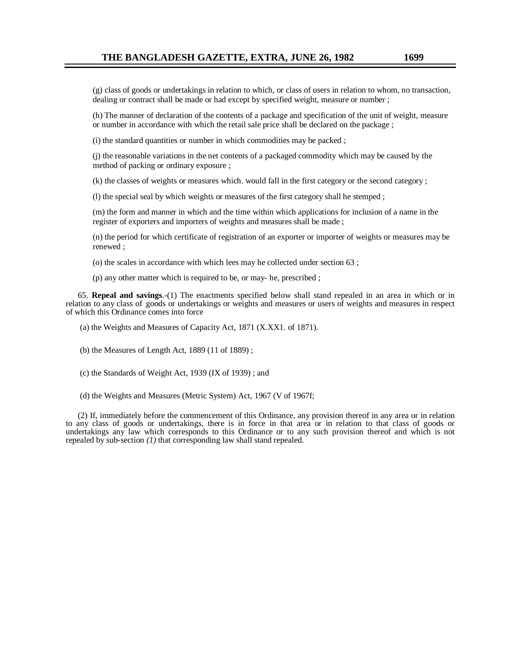(g) class of goods or undertakings in relation to which, or class of users in relation to whom, no transaction, dealing or contract shall be made or had except by specified weight, measure or number ;

(h) The manner of declaration of the contents of a package and specification of the unit of weight, measure or number in accordance with which the retail sale price shall be declared on the package ;

(i) the standard quantities or number in which commodities may be packed ;

(j) the reasonable variations in the net contents of a packaged commodity which may be caused by the method of packing or ordinary exposure ;

(k) the classes of weights or measures which. would fall in the first category or the second category ;

(l) the special seal by which weights or measures of the first category shall he stemped ;

(m) the form and manner in which and the time within which applications for inclusion of a name in the register of exporters and importers of weights and measures shall be made ;

(n) the period for which certificate of registration of an exporter or importer of weights or measures may be renewed ;

(o) the scales in accordance with which lees may he collected under section 63 ;

(p) any other matter which is required to be, or may- he, prescribed ;

65. **Repeal and savings**.-(1) The enactments specified below shall stand repealed in an area in which or in relation to any class of .goods or undertakings or weights and measures or users of weights and measures in respect of which this Ordinance comes into force

(a) the Weights and Measures of Capacity Act, 1871 (X.XX1. of 1871).

(b) the Measures of Length Act, 1889 (11 of 1889) ;

(c) the Standards of Weight Act, 1939 (IX of 1939) ; and

(d) the Weights and Measures (Metric System) Act, 1967 (V of 1967f;

(2) If, immediately before the commencement of this Ordinance, any provision thereof in any area or in relation to any class of goods or undertakings, there is in force in that area or in relation to that class of goods or undertakings any law which corresponds to this Ordinance or to any such provision thereof and which is not repealed by sub-section *(1)* that corresponding law shall stand repealed.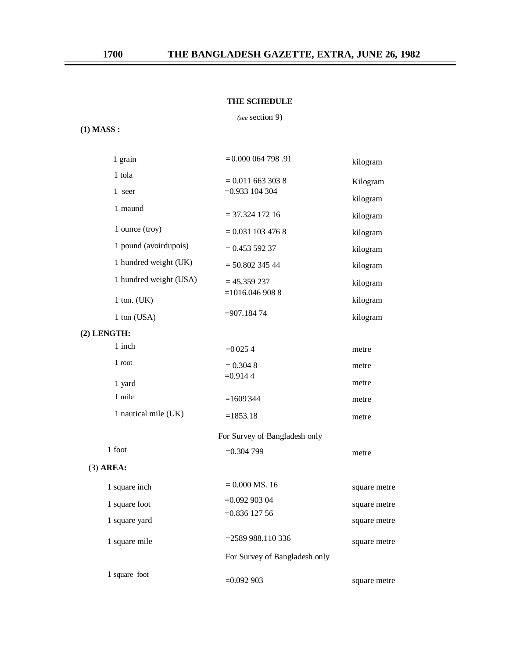### **THE SCHEDULE**

*(see* section 9)

# **(1) MASS :**

| 1 grain                | $= 0.000064798.91$            | kilogram     |  |
|------------------------|-------------------------------|--------------|--|
| 1 tola                 | $= 0.011$ 663 303 8           | Kilogram     |  |
| 1 seer                 | $=0.933104304$                | kilogram     |  |
| 1 maund                | $=$ 37.324 172 16             | kilogram     |  |
| 1 ounce (troy)         | $= 0.031$ 103 476 8           | kilogram     |  |
| 1 pound (avoirdupois)  | $= 0.45359237$                | kilogram     |  |
| 1 hundred weight (UK)  | $= 50.802$ 345 44             | kilogram     |  |
| 1 hundred weight (USA) | $= 45.359237$                 | kilogram     |  |
| $1$ ton. (UK)          | $=1016.0469088$               | kilogram     |  |
| 1 ton (USA)            | $= 907.18474$                 | kilogram     |  |
| (2) LENGTH:            |                               |              |  |
| 1 inch                 | $=0.0254$                     | metre        |  |
| 1 root                 | $= 0.304 8$                   | metre        |  |
| 1 yard                 | $=0.9144$                     | metre        |  |
| 1 mile                 | $=1609344$                    | metre        |  |
| 1 nautical mile (UK)   | $=1853.18$                    | metre        |  |
|                        | For Survey of Bangladesh only |              |  |
| 1 foot                 | $=0.304799$                   | metre        |  |
| $(3)$ AREA:            |                               |              |  |
| 1 square inch          | $= 0.000$ MS. 16              | square metre |  |
| 1 square foot          | $=0.09290304$                 | square metre |  |
| 1 square yard          | $=0.83612756$                 | square metre |  |
| 1 square mile          | $= 2589988.110336$            | square metre |  |
|                        | For Survey of Bangladesh only |              |  |
| 1 square foot          | $=0.092903$                   | square metre |  |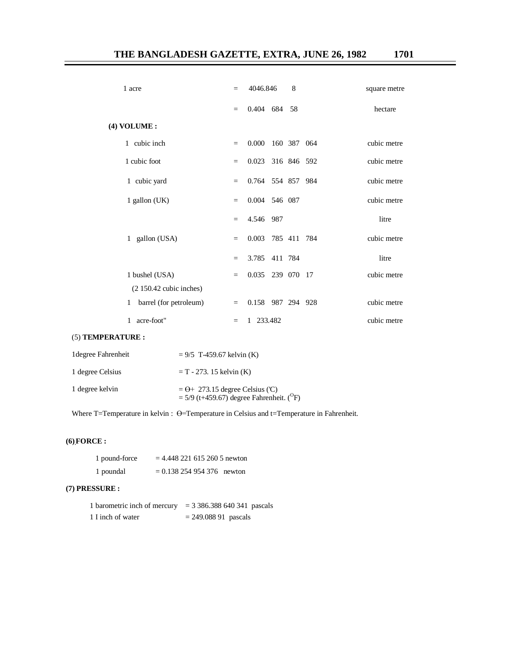| 1 acre                       | $=$      | 4046.846                |         | 8           | square metre |
|------------------------------|----------|-------------------------|---------|-------------|--------------|
|                              | $=$      | 0.404 684 58            |         |             | hectare      |
| (4) VOLUME :                 |          |                         |         |             |              |
| 1 cubic inch                 | $=$      | 0.000                   |         | 160 387 064 | cubic metre  |
| 1 cubic foot                 | $=$      | 0.023                   |         | 316 846 592 | cubic metre  |
| 1 cubic yard                 | $=$      | 0.764 554 857 984       |         |             | cubic metre  |
| 1 gallon $(UK)$              | $\equiv$ | 0.004                   | 546 087 |             | cubic metre  |
|                              | $\equiv$ | 4.546                   | 987     |             | litre        |
| gallon (USA)<br>$\mathbf{1}$ | $\equiv$ | 0.003                   |         | 785 411 784 | cubic metre  |
|                              | $\equiv$ | 3.785                   | 411 784 |             | litre        |
| 1 bushel (USA)               | $=$      | 0.035                   |         | 239 070 17  | cubic metre  |
| $(2 150.42$ cubic inches)    |          |                         |         |             |              |
| barrel (for petroleum)<br>1  | $\equiv$ | 0.158 987 294 928       |         |             | cubic metre  |
| acre-foot"<br>1              | $=$      | 233.482<br>$\mathbf{1}$ |         |             | cubic metre  |

### (5) **TEMPERATURE :**

| 1 degree Fahrenheit | $= 9/5$ T-459.67 kelvin (K)                                                                       |
|---------------------|---------------------------------------------------------------------------------------------------|
| 1 degree Celsius    | $T = T - 273$ . 15 kelvin (K)                                                                     |
| 1 degree kelvin     | $=\Theta$ + 273.15 degree Celsius ('C)<br>= $5/9$ (t+459.67) degree Fahrenheit. ( <sup>O</sup> F) |

Where T=Temperature in kelvin :  $\Theta$ =Temperature in Celsius and t=Temperature in Fahrenheit.

# **(6).FORCE :**

| 1 pound-force | $= 4.4482216152605$ newton |  |
|---------------|----------------------------|--|
| 1 poundal     | $= 0.138254954376$ newton  |  |

### **(7) PRESSURE :**

| 1 barometric inch of mercury | $=$ 3 386.388 640 341 pascals |
|------------------------------|-------------------------------|
| 1 I inch of water            | $= 249.08891$ pascals         |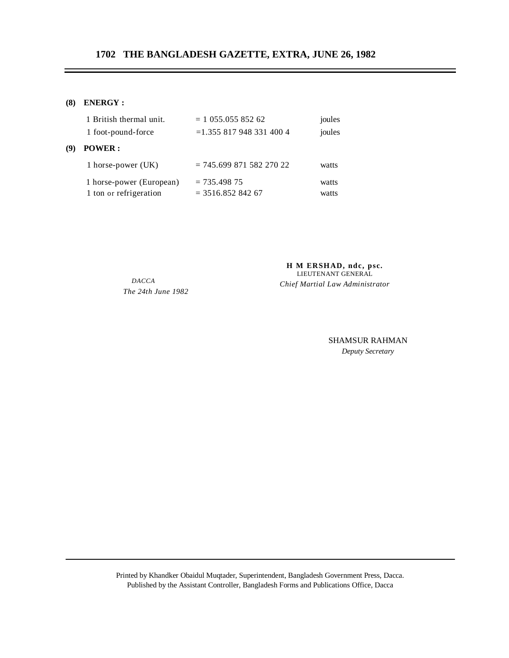### **(8) ENERGY :**

|     | 1 British thermal unit.  | $= 1$ 055.055 852 62        | joules |
|-----|--------------------------|-----------------------------|--------|
|     | 1 foot-pound-force       | $=$ 1.355 817 948 331 400 4 | joules |
| (9) | <b>POWER:</b>            |                             |        |
|     | 1 horse-power (UK)       | $= 745.69987158227022$      | watts  |
|     | 1 horse-power (European) | $= 735.498.75$              | watts  |
|     | 1 ton or refrigeration   | $=$ 3516.852 842 67         | watts  |

*DACCA The 24th June 1982*

**H M ERSHAD, ndc, psc.** LIEUTENANT GENERAL *Chief Martial Law Administrator*

> SHAMSUR RAHMAN *Deputy Secretary*

Printed by Khandker Obaidul Muqtader, Superintendent, Bangladesh Government Press, Dacca. Published by the Assistant Controller, Bangladesh Forms and Publications Office, Dacca